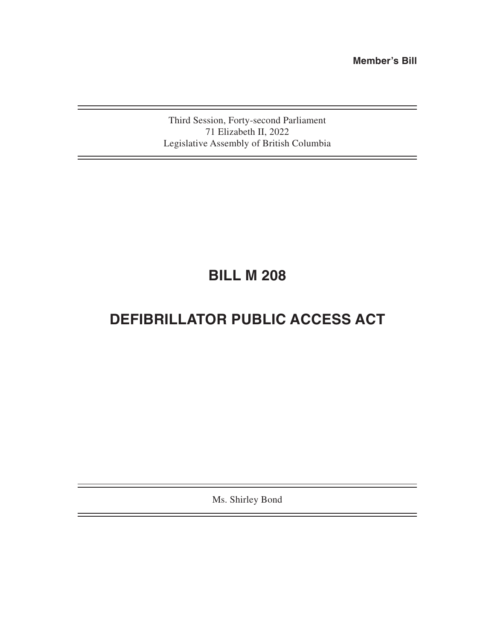**Member's Bill**

Third Session, Forty-second Parliament 71 Elizabeth II, 2022 Legislative Assembly of British Columbia

# **BILL M 208**

# **DEFIBRILLATOR PUBLIC ACCESS ACT**

Ms. Shirley Bond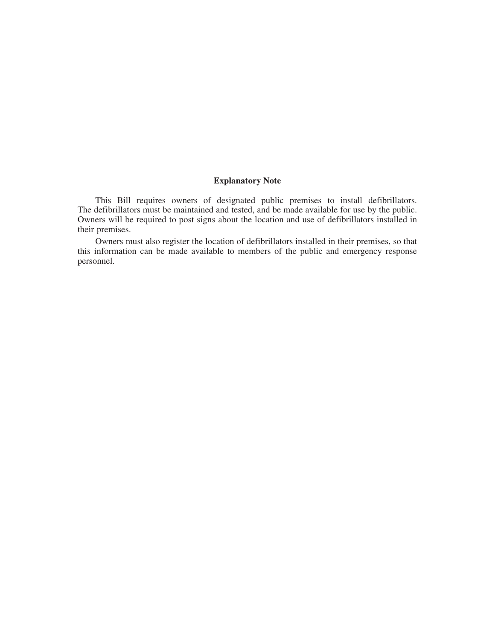# **Explanatory Note**

This Bill requires owners of designated public premises to install defibrillators. The defibrillators must be maintained and tested, and be made available for use by the public. Owners will be required to post signs about the location and use of defibrillators installed in their premises.

Owners must also register the location of defibrillators installed in their premises, so that this information can be made available to members of the public and emergency response personnel.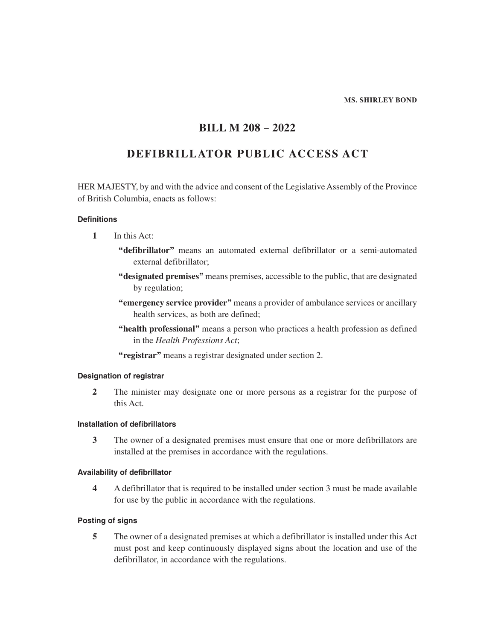#### **MS. SHIRLEY BOND**

# **BILL M 208 – 2022**

# **DEFIBRILLATOR PUBLIC ACCESS ACT**

HER MAJESTY, by and with the advice and consent of the Legislative Assembly of the Province of British Columbia, enacts as follows:

# **Definitions**

- **1** In this Act:
	- **"defibrillator"** means an automated external defibrillator or a semi-automated external defibrillator;
	- **"designated premises"** means premises, accessible to the public, that are designated by regulation;
	- **"emergency service provider"** means a provider of ambulance services or ancillary health services, as both are defined;
	- **"health professional"** means a person who practices a health profession as defined in the *Health Professions Act*;
	- **"registrar"** means a registrar designated under section 2.

# **Designation of registrar**

**2** The minister may designate one or more persons as a registrar for the purpose of this Act.

# **Installation of defibrillators**

**3** The owner of a designated premises must ensure that one or more defibrillators are installed at the premises in accordance with the regulations.

# **Availability of defibrillator**

**4** A defibrillator that is required to be installed under section 3 must be made available for use by the public in accordance with the regulations.

# **Posting of signs**

**5** The owner of a designated premises at which a defibrillator is installed under this Act must post and keep continuously displayed signs about the location and use of the defibrillator, in accordance with the regulations.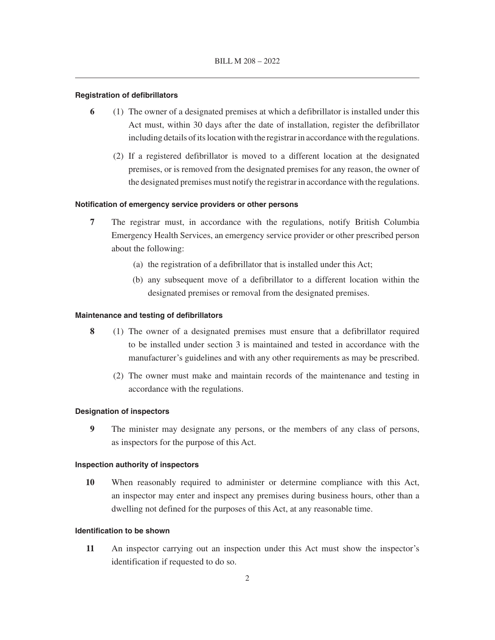#### **Registration of defibrillators**

- **6** (1) The owner of a designated premises at which a defibrillator is installed under this Act must, within 30 days after the date of installation, register the defibrillator including details of its location with the registrar in accordance with the regulations.
	- (2) If a registered defibrillator is moved to a different location at the designated premises, or is removed from the designated premises for any reason, the owner of the designated premises must notify the registrar in accordance with the regulations.

#### **Notification of emergency service providers or other persons**

- **7** The registrar must, in accordance with the regulations, notify British Columbia Emergency Health Services, an emergency service provider or other prescribed person about the following:
	- (a) the registration of a defibrillator that is installed under this Act;
	- (b) any subsequent move of a defibrillator to a different location within the designated premises or removal from the designated premises.

#### **Maintenance and testing of defibrillators**

- **8** (1) The owner of a designated premises must ensure that a defibrillator required to be installed under section 3 is maintained and tested in accordance with the manufacturer's guidelines and with any other requirements as may be prescribed.
	- (2) The owner must make and maintain records of the maintenance and testing in accordance with the regulations.

#### **Designation of inspectors**

**9** The minister may designate any persons, or the members of any class of persons, as inspectors for the purpose of this Act.

#### **Inspection authority of inspectors**

**10** When reasonably required to administer or determine compliance with this Act, an inspector may enter and inspect any premises during business hours, other than a dwelling not defined for the purposes of this Act, at any reasonable time.

# **Identification to be shown**

**11** An inspector carrying out an inspection under this Act must show the inspector's identification if requested to do so.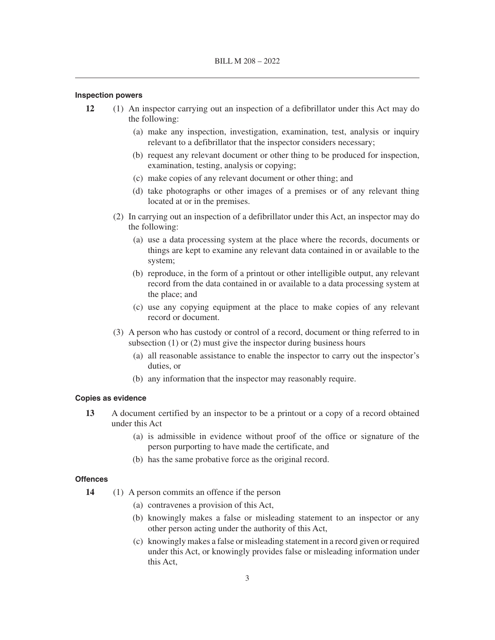#### **Inspection powers**

- **12** (1) An inspector carrying out an inspection of a defibrillator under this Act may do the following:
	- (a) make any inspection, investigation, examination, test, analysis or inquiry relevant to a defibrillator that the inspector considers necessary;
	- (b) request any relevant document or other thing to be produced for inspection, examination, testing, analysis or copying;
	- (c) make copies of any relevant document or other thing; and
	- (d) take photographs or other images of a premises or of any relevant thing located at or in the premises.
	- (2) In carrying out an inspection of a defibrillator under this Act, an inspector may do the following:
		- (a) use a data processing system at the place where the records, documents or things are kept to examine any relevant data contained in or available to the system;
		- (b) reproduce, in the form of a printout or other intelligible output, any relevant record from the data contained in or available to a data processing system at the place; and
		- (c) use any copying equipment at the place to make copies of any relevant record or document.
	- (3) A person who has custody or control of a record, document or thing referred to in subsection (1) or (2) must give the inspector during business hours
		- (a) all reasonable assistance to enable the inspector to carry out the inspector's duties, or
		- (b) any information that the inspector may reasonably require.

#### **Copies as evidence**

- **13** A document certified by an inspector to be a printout or a copy of a record obtained under this Act
	- (a) is admissible in evidence without proof of the office or signature of the person purporting to have made the certificate, and
	- (b) has the same probative force as the original record.

#### **Offences**

- **14** (1) A person commits an offence if the person
	- (a) contravenes a provision of this Act,
	- (b) knowingly makes a false or misleading statement to an inspector or any other person acting under the authority of this Act,
	- (c) knowingly makes a false or misleading statement in a record given or required under this Act, or knowingly provides false or misleading information under this Act,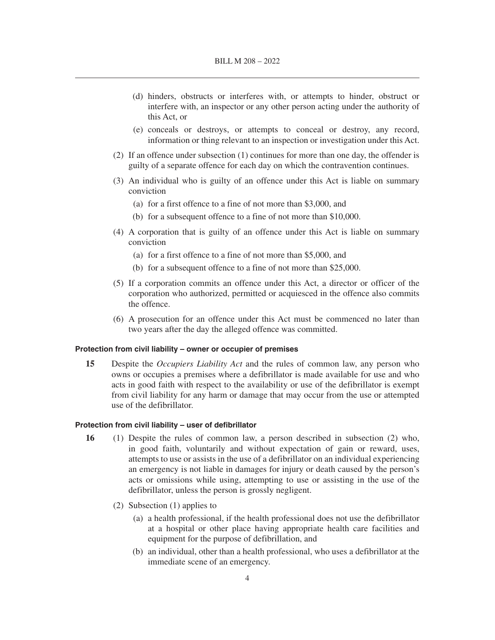- (d) hinders, obstructs or interferes with, or attempts to hinder, obstruct or interfere with, an inspector or any other person acting under the authority of this Act, or
- (e) conceals or destroys, or attempts to conceal or destroy, any record, information or thing relevant to an inspection or investigation under this Act.
- (2) If an offence under subsection (1) continues for more than one day, the offender is guilty of a separate offence for each day on which the contravention continues.
- (3) An individual who is guilty of an offence under this Act is liable on summary conviction
	- (a) for a first offence to a fine of not more than \$3,000, and
	- (b) for a subsequent offence to a fine of not more than \$10,000.
- (4) A corporation that is guilty of an offence under this Act is liable on summary conviction
	- (a) for a first offence to a fine of not more than \$5,000, and
	- (b) for a subsequent offence to a fine of not more than \$25,000.
- (5) If a corporation commits an offence under this Act, a director or officer of the corporation who authorized, permitted or acquiesced in the offence also commits the offence.
- (6) A prosecution for an offence under this Act must be commenced no later than two years after the day the alleged offence was committed.

### **Protection from civil liability – owner or occupier of premises**

**15** Despite the *Occupiers Liability Act* and the rules of common law, any person who owns or occupies a premises where a defibrillator is made available for use and who acts in good faith with respect to the availability or use of the defibrillator is exempt from civil liability for any harm or damage that may occur from the use or attempted use of the defibrillator.

#### **Protection from civil liability – user of defibrillator**

- **16** (1) Despite the rules of common law, a person described in subsection (2) who, in good faith, voluntarily and without expectation of gain or reward, uses, attempts to use or assists in the use of a defibrillator on an individual experiencing an emergency is not liable in damages for injury or death caused by the person's acts or omissions while using, attempting to use or assisting in the use of the defibrillator, unless the person is grossly negligent.
	- (2) Subsection (1) applies to
		- (a) a health professional, if the health professional does not use the defibrillator at a hospital or other place having appropriate health care facilities and equipment for the purpose of defibrillation, and
		- (b) an individual, other than a health professional, who uses a defibrillator at the immediate scene of an emergency.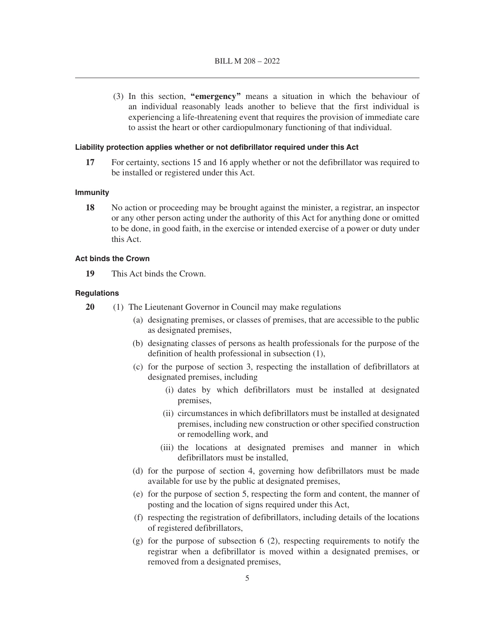(3) In this section, **"emergency"** means a situation in which the behaviour of an individual reasonably leads another to believe that the first individual is experiencing a life-threatening event that requires the provision of immediate care to assist the heart or other cardiopulmonary functioning of that individual.

#### **Liability protection applies whether or not defibrillator required under this Act**

**17** For certainty, sections 15 and 16 apply whether or not the defibrillator was required to be installed or registered under this Act.

#### **Immunity**

**18** No action or proceeding may be brought against the minister, a registrar, an inspector or any other person acting under the authority of this Act for anything done or omitted to be done, in good faith, in the exercise or intended exercise of a power or duty under this Act.

#### **Act binds the Crown**

**19** This Act binds the Crown.

# **Regulations**

- **20** (1) The Lieutenant Governor in Council may make regulations
	- (a) designating premises, or classes of premises, that are accessible to the public as designated premises,
	- (b) designating classes of persons as health professionals for the purpose of the definition of health professional in subsection (1),
	- (c) for the purpose of section 3, respecting the installation of defibrillators at designated premises, including
		- (i) dates by which defibrillators must be installed at designated premises,
		- (ii) circumstances in which defibrillators must be installed at designated premises, including new construction or other specified construction or remodelling work, and
		- (iii) the locations at designated premises and manner in which defibrillators must be installed,
	- (d) for the purpose of section 4, governing how defibrillators must be made available for use by the public at designated premises,
	- (e) for the purpose of section 5, respecting the form and content, the manner of posting and the location of signs required under this Act,
	- (f) respecting the registration of defibrillators, including details of the locations of registered defibrillators,
	- (g) for the purpose of subsection 6 (2), respecting requirements to notify the registrar when a defibrillator is moved within a designated premises, or removed from a designated premises,